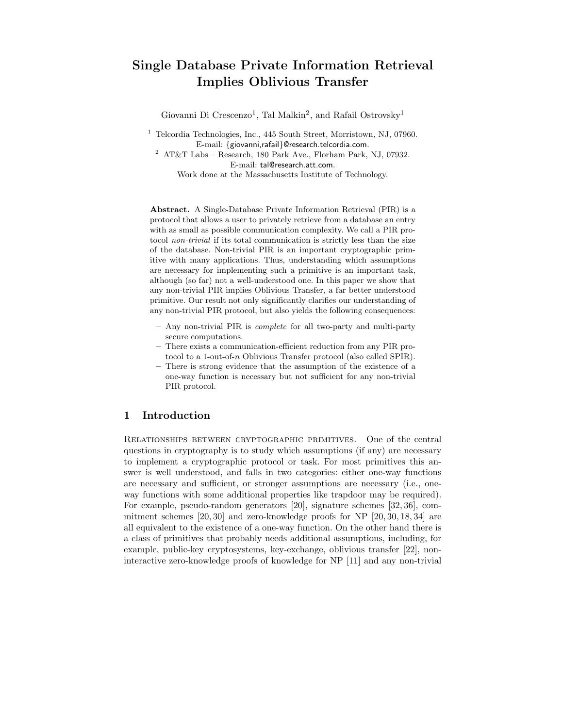# Single Database Private Information Retrieval Implies Oblivious Transfer

Giovanni Di Crescenzo<sup>1</sup>, Tal Malkin<sup>2</sup>, and Rafail Ostrovsky<sup>1</sup>

<sup>1</sup> Telcordia Technologies, Inc., 445 South Street, Morristown, NJ, 07960. E-mail: {giovanni,rafail}@research.telcordia.com.  $^2\,$  AT&T Labs – Research, 180 Park Ave., Florham Park, NJ, 07932. E-mail: tal@research.att.com.

Work done at the Massachusetts Institute of Technology.

Abstract. A Single-Database Private Information Retrieval (PIR) is a protocol that allows a user to privately retrieve from a database an entry with as small as possible communication complexity. We call a PIR protocol non-trivial if its total communication is strictly less than the size of the database. Non-trivial PIR is an important cryptographic primitive with many applications. Thus, understanding which assumptions are necessary for implementing such a primitive is an important task, although (so far) not a well-understood one. In this paper we show that any non-trivial PIR implies Oblivious Transfer, a far better understood primitive. Our result not only significantly clarifies our understanding of any non-trivial PIR protocol, but also yields the following consequences:

- Any non-trivial PIR is complete for all two-party and multi-party secure computations.
- There exists a communication-efficient reduction from any PIR protocol to a 1-out-of-n Oblivious Transfer protocol (also called SPIR).
- There is strong evidence that the assumption of the existence of a one-way function is necessary but not sufficient for any non-trivial PIR protocol.

# 1 Introduction

Relationships between cryptographic primitives. One of the central questions in cryptography is to study which assumptions (if any) are necessary to implement a cryptographic protocol or task. For most primitives this answer is well understood, and falls in two categories: either one-way functions are necessary and sufficient, or stronger assumptions are necessary (i.e., oneway functions with some additional properties like trapdoor may be required). For example, pseudo-random generators [20], signature schemes [32, 36], commitment schemes [20, 30] and zero-knowledge proofs for NP [20, 30, 18, 34] are all equivalent to the existence of a one-way function. On the other hand there is a class of primitives that probably needs additional assumptions, including, for example, public-key cryptosystems, key-exchange, oblivious transfer [22], noninteractive zero-knowledge proofs of knowledge for NP [11] and any non-trivial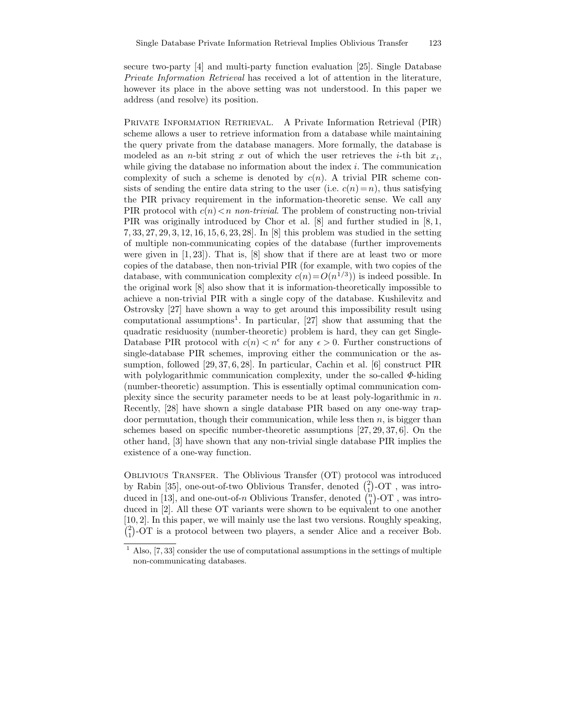secure two-party [4] and multi-party function evaluation [25]. Single Database Private Information Retrieval has received a lot of attention in the literature, however its place in the above setting was not understood. In this paper we address (and resolve) its position.

Private Information Retrieval. A Private Information Retrieval (PIR) scheme allows a user to retrieve information from a database while maintaining the query private from the database managers. More formally, the database is modeled as an *n*-bit string x out of which the user retrieves the i-th bit  $x_i$ , while giving the database no information about the index  $i$ . The communication complexity of such a scheme is denoted by  $c(n)$ . A trivial PIR scheme consists of sending the entire data string to the user (i.e.  $c(n)=n$ ), thus satisfying the PIR privacy requirement in the information-theoretic sense. We call any PIR protocol with  $c(n) < n$  non-trivial. The problem of constructing non-trivial PIR was originally introduced by Chor et al. [8] and further studied in [8, 1, 7, 33, 27, 29, 3, 12, 16, 15, 6, 23, 28]. In [8] this problem was studied in the setting of multiple non-communicating copies of the database (further improvements were given in  $[1, 23]$ ). That is,  $[8]$  show that if there are at least two or more copies of the database, then non-trivial PIR (for example, with two copies of the database, with communication complexity  $c(n) = O(n^{1/3})$  is indeed possible. In the original work [8] also show that it is information-theoretically impossible to achieve a non-trivial PIR with a single copy of the database. Kushilevitz and Ostrovsky [27] have shown a way to get around this impossibility result using computational assumptions<sup>1</sup>. In particular, [27] show that assuming that the quadratic residuosity (number-theoretic) problem is hard, they can get Single-Database PIR protocol with  $c(n) < n^{\epsilon}$  for any  $\epsilon > 0$ . Further constructions of single-database PIR schemes, improving either the communication or the assumption, followed [29, 37, 6, 28]. In particular, Cachin et al. [6] construct PIR with polylogarithmic communication complexity, under the so-called  $\Phi$ -hiding (number-theoretic) assumption. This is essentially optimal communication complexity since the security parameter needs to be at least poly-logarithmic in  $n$ . Recently, [28] have shown a single database PIR based on any one-way trapdoor permutation, though their communication, while less then  $n$ , is bigger than schemes based on specific number-theoretic assumptions [27, 29, 37, 6]. On the other hand, [3] have shown that any non-trivial single database PIR implies the existence of a one-way function.

Oblivious Transfer. The Oblivious Transfer (OT) protocol was introduced by Rabin [35], one-out-of-two Oblivious Transfer, denoted  $\binom{2}{1}$ -OT, was introduced in [13], and one-out-of-n Oblivious Transfer, denoted  $\binom{n}{1}$ -OT, was introduced in [2]. All these OT variants were shown to be equivalent to one another [10, 2]. In this paper, we will mainly use the last two versions. Roughly speaking,  $\binom{2}{1}$ -OT is a protocol between two players, a sender Alice and a receiver Bob.

 $1$  Also, [7, 33] consider the use of computational assumptions in the settings of multiple non-communicating databases.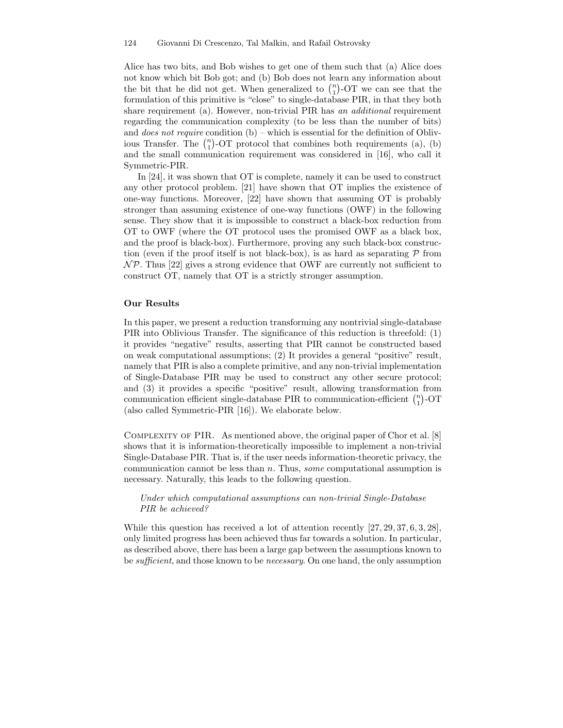Alice has two bits, and Bob wishes to get one of them such that (a) Alice does not know which bit Bob got; and (b) Bob does not learn any information about the bit that he did not get. When generalized to  $\binom{n}{1}$ -OT we can see that the formulation of this primitive is "close" to single-database PIR, in that they both share requirement (a). However, non-trivial PIR has an additional requirement regarding the communication complexity (to be less than the number of bits) and *does not require* condition  $(b)$  – which is essential for the definition of Oblivious Transfer. The  $\binom{n}{1}$ -OT protocol that combines both requirements (a), (b) and the small communication requirement was considered in [16], who call it Symmetric-PIR.

In [24], it was shown that OT is complete, namely it can be used to construct any other protocol problem. [21] have shown that OT implies the existence of one-way functions. Moreover, [22] have shown that assuming OT is probably stronger than assuming existence of one-way functions (OWF) in the following sense. They show that it is impossible to construct a black-box reduction from OT to OWF (where the OT protocol uses the promised OWF as a black box, and the proof is black-box). Furthermore, proving any such black-box construction (even if the proof itself is not black-box), is as hard as separating  $\mathcal P$  from  $N\mathcal{P}$ . Thus [22] gives a strong evidence that OWF are currently not sufficient to construct OT, namely that OT is a strictly stronger assumption.

#### Our Results

In this paper, we present a reduction transforming any nontrivial single-database PIR into Oblivious Transfer. The significance of this reduction is threefold: (1) it provides "negative" results, asserting that PIR cannot be constructed based on weak computational assumptions; (2) It provides a general "positive" result, namely that PIR is also a complete primitive, and any non-trivial implementation of Single-Database PIR may be used to construct any other secure protocol; and (3) it provides a specific "positive" result, allowing transformation from communication efficient single-database PIR to communication-efficient  $\binom{n}{1}$ -OT (also called Symmetric-PIR [16]). We elaborate below.

Complexity of PIR. As mentioned above, the original paper of Chor et al. [8] shows that it is information-theoretically impossible to implement a non-trivial Single-Database PIR. That is, if the user needs information-theoretic privacy, the communication cannot be less than  $n$ . Thus, some computational assumption is necessary. Naturally, this leads to the following question.

### Under which computational assumptions can non-trivial Single-Database PIR be achieved?

While this question has received a lot of attention recently [27, 29, 37, 6, 3, 28], only limited progress has been achieved thus far towards a solution. In particular, as described above, there has been a large gap between the assumptions known to be sufficient, and those known to be necessary. On one hand, the only assumption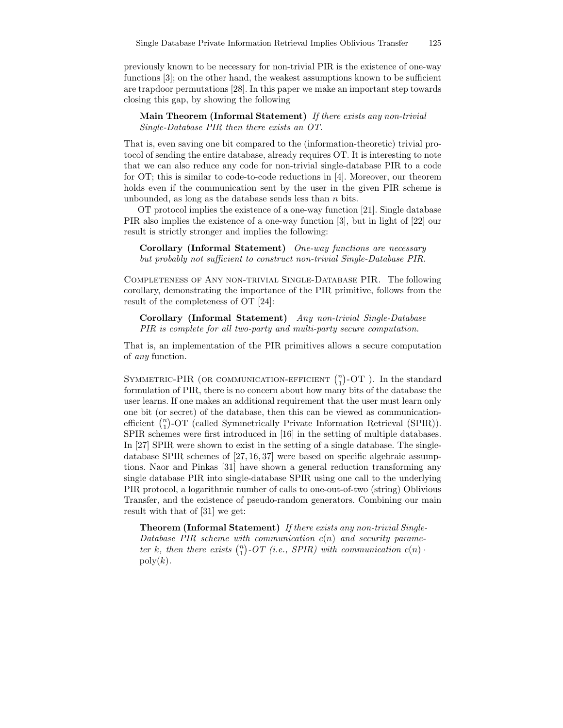previously known to be necessary for non-trivial PIR is the existence of one-way functions [3]; on the other hand, the weakest assumptions known to be sufficient are trapdoor permutations [28]. In this paper we make an important step towards closing this gap, by showing the following

Main Theorem (Informal Statement) If there exists any non-trivial Single-Database PIR then there exists an OT.

That is, even saving one bit compared to the (information-theoretic) trivial protocol of sending the entire database, already requires OT. It is interesting to note that we can also reduce any code for non-trivial single-database PIR to a code for OT; this is similar to code-to-code reductions in [4]. Moreover, our theorem holds even if the communication sent by the user in the given PIR scheme is unbounded, as long as the database sends less than  $n$  bits.

OT protocol implies the existence of a one-way function [21]. Single database PIR also implies the existence of a one-way function [3], but in light of [22] our result is strictly stronger and implies the following:

Corollary (Informal Statement) One-way functions are necessary but probably not sufficient to construct non-trivial Single-Database PIR.

Completeness of Any non-trivial Single-Database PIR. The following corollary, demonstrating the importance of the PIR primitive, follows from the result of the completeness of OT [24]:

Corollary (Informal Statement) Any non-trivial Single-Database PIR is complete for all two-party and multi-party secure computation.

That is, an implementation of the PIR primitives allows a secure computation of any function.

SYMMETRIC-PIR (OR COMMUNICATION-EFFICIENT  $\binom{n}{1}$ -OT). In the standard formulation of PIR, there is no concern about how many bits of the database the user learns. If one makes an additional requirement that the user must learn only one bit (or secret) of the database, then this can be viewed as communicationefficient  $\binom{n}{1}$ -OT (called Symmetrically Private Information Retrieval (SPIR)). SPIR schemes were first introduced in [16] in the setting of multiple databases. In [27] SPIR were shown to exist in the setting of a single database. The singledatabase SPIR schemes of [27, 16, 37] were based on specific algebraic assumptions. Naor and Pinkas [31] have shown a general reduction transforming any single database PIR into single-database SPIR using one call to the underlying PIR protocol, a logarithmic number of calls to one-out-of-two (string) Oblivious Transfer, and the existence of pseudo-random generators. Combining our main result with that of [31] we get:

Theorem (Informal Statement) If there exists any non-trivial Single-Database PIR scheme with communication  $c(n)$  and security parameter k, then there exists  $\binom{n}{1}$ -OT (i.e., SPIR) with communication  $c(n)$ .  $poly(k)$ .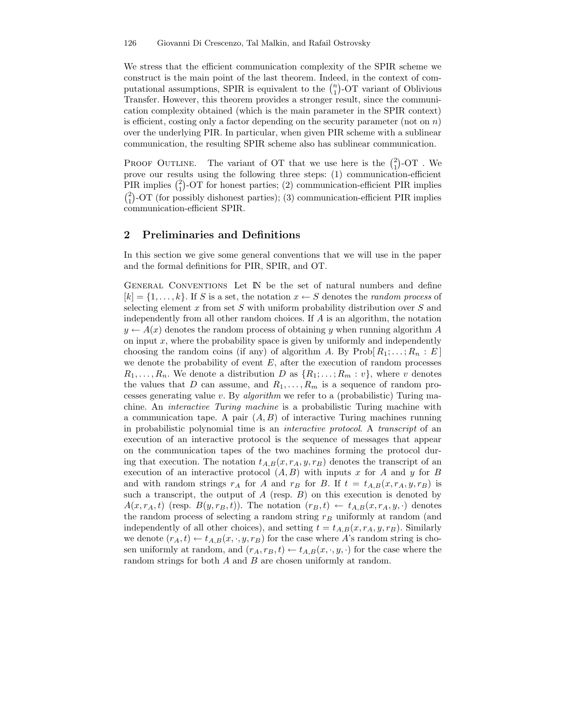We stress that the efficient communication complexity of the SPIR scheme we construct is the main point of the last theorem. Indeed, in the context of computational assumptions, SPIR is equivalent to the  $\binom{n}{1}$ -OT variant of Oblivious Transfer. However, this theorem provides a stronger result, since the communication complexity obtained (which is the main parameter in the SPIR context) is efficient, costing only a factor depending on the security parameter (not on  $n$ ) over the underlying PIR. In particular, when given PIR scheme with a sublinear communication, the resulting SPIR scheme also has sublinear communication.

PROOF OUTLINE. The variant of OT that we use here is the  $\binom{2}{1}$ -OT. We prove our results using the following three steps: (1) communication-efficient PIR implies  $\binom{2}{1}$ -OT for honest parties; (2) communication-efficient PIR implies  $\binom{2}{1}$ -OT (for possibly dishonest parties); (3) communication-efficient PIR implies communication-efficient SPIR.

## 2 Preliminaries and Definitions

In this section we give some general conventions that we will use in the paper and the formal definitions for PIR, SPIR, and OT.

General Conventions Let IN be the set of natural numbers and define  $[k] = \{1, \ldots, k\}$ . If S is a set, the notation  $x \leftarrow S$  denotes the *random process* of selecting element x from set S with uniform probability distribution over  $S$  and independently from all other random choices. If A is an algorithm, the notation  $y \leftarrow A(x)$  denotes the random process of obtaining y when running algorithm A on input  $x$ , where the probability space is given by uniformly and independently choosing the random coins (if any) of algorithm A. By  $\text{Prob}[R_1; \ldots; R_n : E]$ we denote the probability of event  $E$ , after the execution of random processes  $R_1, \ldots, R_n$ . We denote a distribution D as  $\{R_1; \ldots; R_m : v\}$ , where v denotes the values that D can assume, and  $R_1, \ldots, R_m$  is a sequence of random processes generating value  $v$ . By *algorithm* we refer to a (probabilistic) Turing machine. An interactive Turing machine is a probabilistic Turing machine with a communication tape. A pair  $(A, B)$  of interactive Turing machines running in probabilistic polynomial time is an interactive protocol. A transcript of an execution of an interactive protocol is the sequence of messages that appear on the communication tapes of the two machines forming the protocol during that execution. The notation  $t_{A,B}(x, r_A, y, r_B)$  denotes the transcript of an execution of an interactive protocol  $(A, B)$  with inputs x for A and y for B and with random strings  $r_A$  for A and  $r_B$  for B. If  $t = t_{A,B}(x, r_A, y, r_B)$  is such a transcript, the output of  $A$  (resp.  $B$ ) on this execution is denoted by  $A(x, r_A, t)$  (resp.  $B(y, r_B, t)$ ). The notation  $(r_B, t) \leftarrow t_{A,B}(x, r_A, y, \cdot)$  denotes the random process of selecting a random string  $r_B$  uniformly at random (and independently of all other choices), and setting  $t = t_{A,B}(x, r_A, y, r_B)$ . Similarly we denote  $(r_A, t) \leftarrow t_{A,B}(x, \cdot, y, r_B)$  for the case where A's random string is chosen uniformly at random, and  $(r_A, r_B, t) \leftarrow t_{A,B}(x, \cdot, y, \cdot)$  for the case where the random strings for both A and B are chosen uniformly at random.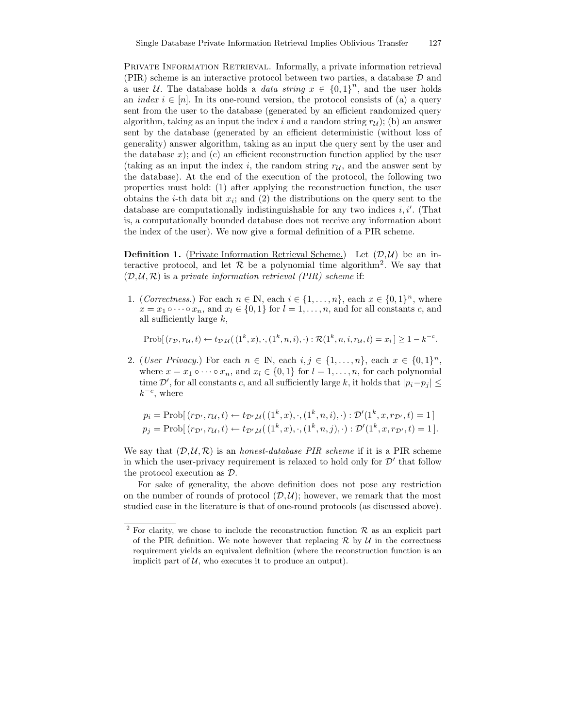PRIVATE INFORMATION RETRIEVAL. Informally, a private information retrieval (PIR) scheme is an interactive protocol between two parties, a database D and a user U. The database holds a *data string*  $x \in \{0,1\}^n$ , and the user holds an *index*  $i \in [n]$ . In its one-round version, the protocol consists of (a) a query sent from the user to the database (generated by an efficient randomized query algorithm, taking as an input the index i and a random string  $r_{\mathcal{U}}$ ; (b) an answer sent by the database (generated by an efficient deterministic (without loss of generality) answer algorithm, taking as an input the query sent by the user and the database  $x$ ); and (c) an efficient reconstruction function applied by the user (taking as an input the index i, the random string  $r_{\mathcal{U}}$ , and the answer sent by the database). At the end of the execution of the protocol, the following two properties must hold: (1) after applying the reconstruction function, the user obtains the *i*-th data bit  $x_i$ ; and (2) the distributions on the query sent to the database are computationally indistinguishable for any two indices  $i, i'$ . (That is, a computationally bounded database does not receive any information about the index of the user). We now give a formal definition of a PIR scheme.

**Definition 1.** (Private Information Retrieval Scheme.) Let  $(D, U)$  be an interactive protocol, and let  $R$  be a polynomial time algorithm<sup>2</sup>. We say that  $(\mathcal{D}, \mathcal{U}, \mathcal{R})$  is a private information retrieval (PIR) scheme if:

1. (Correctness.) For each  $n \in \mathbb{N}$ , each  $i \in \{1, ..., n\}$ , each  $x \in \{0, 1\}^n$ , where  $x = x_1 \circ \cdots \circ x_n$ , and  $x_l \in \{0,1\}$  for  $l = 1, \ldots, n$ , and for all constants c, and all sufficiently large  $k$ ,

 $\text{Prob}[(r_D, r_U, t) \leftarrow t_{D,U}((1^k, x), \cdot, (1^k, n, i), \cdot): \mathcal{R}(1^k, n, i, r_U, t) = x_i] \ge 1 - k^{-c}.$ 

2. (User Privacy.) For each  $n \in \mathbb{N}$ , each  $i, j \in \{1, ..., n\}$ , each  $x \in \{0, 1\}^n$ , where  $x = x_1 \circ \cdots \circ x_n$ , and  $x_l \in \{0, 1\}$  for  $l = 1, \ldots, n$ , for each polynomial time  $\mathcal{D}'$ , for all constants c, and all sufficiently large k, it holds that  $|p_i-p_j| \leq$  $k^{-c}$ , where

$$
p_i = \text{Prob}[(r_{\mathcal{D}'}, r_{\mathcal{U}}, t) \leftarrow t_{\mathcal{D}', \mathcal{U}}((1^k, x), \cdot, (1^k, n, i), \cdot) : \mathcal{D}'(1^k, x, r_{\mathcal{D}'}, t) = 1]
$$
  

$$
p_j = \text{Prob}[(r_{\mathcal{D}'}, r_{\mathcal{U}}, t) \leftarrow t_{\mathcal{D}', \mathcal{U}}((1^k, x), \cdot, (1^k, n, j), \cdot) : \mathcal{D}'(1^k, x, r_{\mathcal{D}'}, t) = 1].
$$

We say that  $(D, U, R)$  is an *honest-database PIR scheme* if it is a PIR scheme in which the user-privacy requirement is relaxed to hold only for  $\mathcal{D}'$  that follow the protocol execution as D.

For sake of generality, the above definition does not pose any restriction on the number of rounds of protocol  $(D, U)$ ; however, we remark that the most studied case in the literature is that of one-round protocols (as discussed above).

<sup>&</sup>lt;sup>2</sup> For clarity, we chose to include the reconstruction function  $R$  as an explicit part of the PIR definition. We note however that replacing  $\mathcal R$  by  $\mathcal U$  in the correctness requirement yields an equivalent definition (where the reconstruction function is an implicit part of  $U$ , who executes it to produce an output).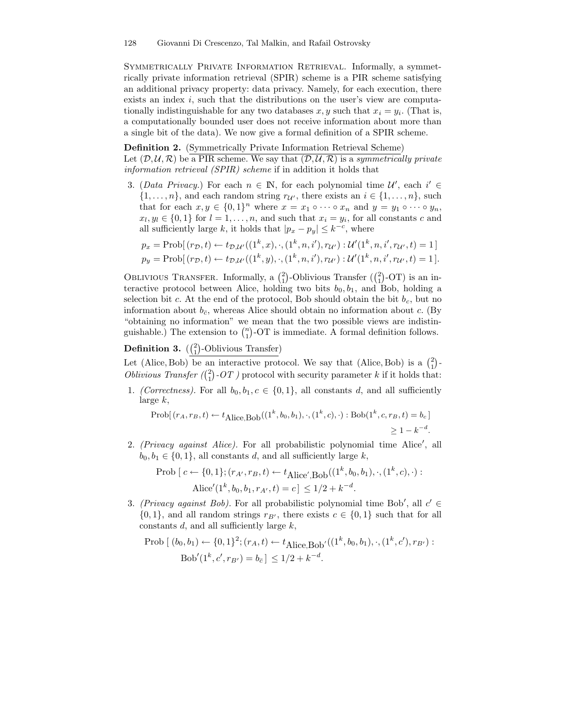Symmetrically Private Information Retrieval. Informally, a symmetrically private information retrieval (SPIR) scheme is a PIR scheme satisfying an additional privacy property: data privacy. Namely, for each execution, there exists an index  $i$ , such that the distributions on the user's view are computationally indistinguishable for any two databases  $x, y$  such that  $x_i = y_i$ . (That is, a computationally bounded user does not receive information about more than a single bit of the data). We now give a formal definition of a SPIR scheme.

#### Definition 2. (Symmetrically Private Information Retrieval Scheme)

Let  $(D, U, R)$  be a PIR scheme. We say that  $(D, U, R)$  is a symmetrically private information retrieval (SPIR) scheme if in addition it holds that

3. (Data Privacy.) For each  $n \in \mathbb{N}$ , for each polynomial time  $\mathcal{U}'$ , each  $i' \in$  $\{1, \ldots, n\}$ , and each random string  $r_{\mathcal{U}'}$ , there exists an  $i \in \{1, \ldots, n\}$ , such that for each  $x, y \in \{0,1\}^n$  where  $x = x_1 \circ \cdots \circ x_n$  and  $y = y_1 \circ \cdots \circ y_n$ ,  $x_l, y_l \in \{0, 1\}$  for  $l = 1, \ldots, n$ , and such that  $x_i = y_i$ , for all constants c and all sufficiently large k, it holds that  $|p_x - p_y| \leq k^{-c}$ , where

$$
p_x = \text{Prob}[(r_D, t) \leftarrow t_{\mathcal{D}, \mathcal{U}'}((1^k, x), \cdot, (1^k, n, i'), r_{\mathcal{U}'}) : \mathcal{U}'(1^k, n, i', r_{\mathcal{U}'}, t) = 1]
$$
  
\n
$$
p_y = \text{Prob}[(r_D, t) \leftarrow t_{\mathcal{D}, \mathcal{U}'}((1^k, y), \cdot, (1^k, n, i'), r_{\mathcal{U}'}) : \mathcal{U}'(1^k, n, i', r_{\mathcal{U}'}, t) = 1].
$$

OBLIVIOUS TRANSFER. Informally, a  $\binom{2}{1}$ -Oblivious Transfer  $\binom{2}{1}$ -OT) is an interactive protocol between Alice, holding two bits  $b_0, b_1$ , and Bob, holding a selection bit c. At the end of the protocol, Bob should obtain the bit  $b_c$ , but no information about  $b_{\bar{c}}$ , whereas Alice should obtain no information about c. (By "obtaining no information" we mean that the two possible views are indistinguishable.) The extension to  $\binom{n}{1}$ -OT is immediate. A formal definition follows.

# **Definition 3.**  $\left(\frac{2}{1}\right)$ -Oblivious Transfer)

Let (Alice, Bob) be an interactive protocol. We say that (Alice, Bob) is a  $\binom{2}{1}$ -Oblivious Transfer  $\binom{2}{1}$ -OT ) protocol with security parameter k if it holds that:

1. (Correctness). For all  $b_0, b_1, c \in \{0, 1\}$ , all constants d, and all sufficiently large k,

$$
\text{Prob}[(r_A, r_B, t) \leftarrow t_{\text{Alice}, \text{Bob}}((1^k, b_0, b_1), \cdot, (1^k, c), \cdot): \text{Bob}(1^k, c, r_B, t) = b_c]
$$
\n
$$
\geq 1 - k^{-d}.
$$

2. (Privacy against Alice). For all probabilistic polynomial time Alice', all  $b_0, b_1 \in \{0, 1\}$ , all constants d, and all sufficiently large k,

Prob 
$$
[c \leftarrow \{0, 1\}; (r_{A'}, r_B, t) \leftarrow t_{Alice', Bob}((1^k, b_0, b_1), \cdot, (1^k, c), \cdot):
$$
  
Alice'(1^k, b\_0, b\_1, r\_{A'}, t) = c  $\leq$  1/2 + k<sup>-d</sup>.

3. (Privacy against Bob). For all probabilistic polynomial time Bob', all  $c' \in$  $\{0, 1\}$ , and all random strings  $r_{B'}$ , there exists  $c \in \{0, 1\}$  such that for all constants  $d$ , and all sufficiently large  $k$ ,

$$
\text{Prob}\left[ (b_0, b_1) \leftarrow \{0, 1\}^2; (r_A, t) \leftarrow t_{\text{Alice}, \text{Bob}'}((1^k, b_0, b_1), \cdot, (1^k, c'), r_{B'}) : \text{Bob}'(1^k, c', r_{B'}) = b_{\bar{c}} \right] \le 1/2 + k^{-d}.
$$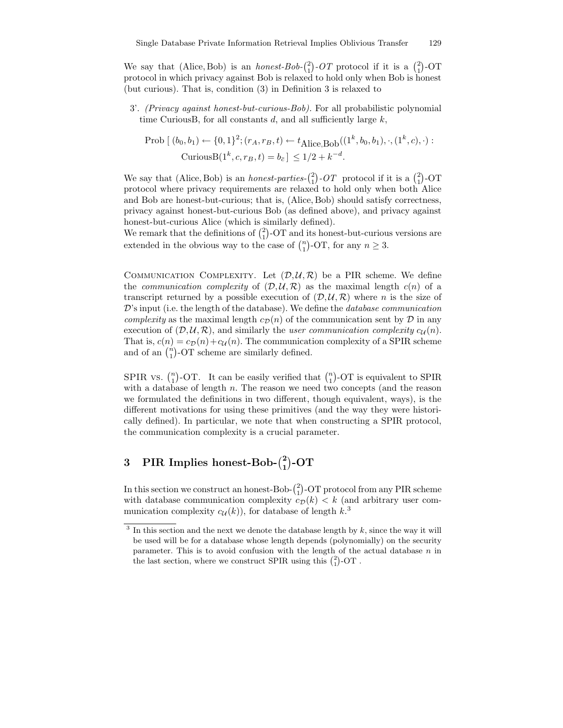We say that (Alice, Bob) is an *honest-Bob*- $\binom{2}{1}$ -OT protocol if it is a  $\binom{2}{1}$ -OT protocol in which privacy against Bob is relaxed to hold only when Bob is honest (but curious). That is, condition (3) in Definition 3 is relaxed to

3'. (Privacy against honest-but-curious-Bob). For all probabilistic polynomial time CuriousB, for all constants  $d$ , and all sufficiently large  $k$ ,

Prob 
$$
[(b_0, b_1) \leftarrow \{0, 1\}^2; (r_A, r_B, t) \leftarrow t_{Alice, Bob}((1^k, b_0, b_1), \cdot, (1^k, c), \cdot):
$$
  
CuriousB $(1^k, c, r_B, t) = b_{\bar{c}} \le 1/2 + k^{-d}$ .

We say that (Alice, Bob) is an *honest-parties*- $\binom{2}{1}$ -*OT* protocol if it is a  $\binom{2}{1}$ -OT protocol where privacy requirements are relaxed to hold only when both Alice and Bob are honest-but-curious; that is, (Alice, Bob) should satisfy correctness, privacy against honest-but-curious Bob (as defined above), and privacy against honest-but-curious Alice (which is similarly defined).

We remark that the definitions of  $\binom{2}{1}$ -OT and its honest-but-curious versions are extended in the obvious way to the case of  $\binom{n}{1}$ -OT, for any  $n \geq 3$ .

COMMUNICATION COMPLEXITY. Let  $(D, U, \mathcal{R})$  be a PIR scheme. We define the *communication complexity* of  $(D, U, R)$  as the maximal length  $c(n)$  of a transcript returned by a possible execution of  $(D, U, \mathcal{R})$  where n is the size of  $\mathcal{D}'$ 's input (i.e. the length of the database). We define the *database communication complexity* as the maximal length  $c_{\mathcal{D}}(n)$  of the communication sent by  $\mathcal D$  in any execution of  $(D, U, R)$ , and similarly the *user communication complexity c<sub>U</sub>(n)*. That is,  $c(n) = c_{\mathcal{D}}(n) + c_{\mathcal{U}}(n)$ . The communication complexity of a SPIR scheme and of an  $\binom{n}{1}$ -OT scheme are similarly defined.

SPIR vs.  $\binom{n}{1}$ -OT. It can be easily verified that  $\binom{n}{1}$ -OT is equivalent to SPIR with a database of length  $n$ . The reason we need two concepts (and the reason we formulated the definitions in two different, though equivalent, ways), is the different motivations for using these primitives (and the way they were historically defined). In particular, we note that when constructing a SPIR protocol, the communication complexity is a crucial parameter.

# 3 PIR Implies honest-Bob- $\binom{2}{1}$ -OT

In this section we construct an honest-Bob- $\binom{2}{1}$ -OT protocol from any PIR scheme with database communication complexity  $c_{\mathcal{D}}(k) < k$  (and arbitrary user communication complexity  $c_{\mathcal{U}}(k)$ , for database of length  $k<sup>3</sup>$ .

 $3$  In this section and the next we denote the database length by  $k$ , since the way it will be used will be for a database whose length depends (polynomially) on the security parameter. This is to avoid confusion with the length of the actual database  $n$  in the last section, where we construct SPIR using this  $\binom{2}{1}$ -OT.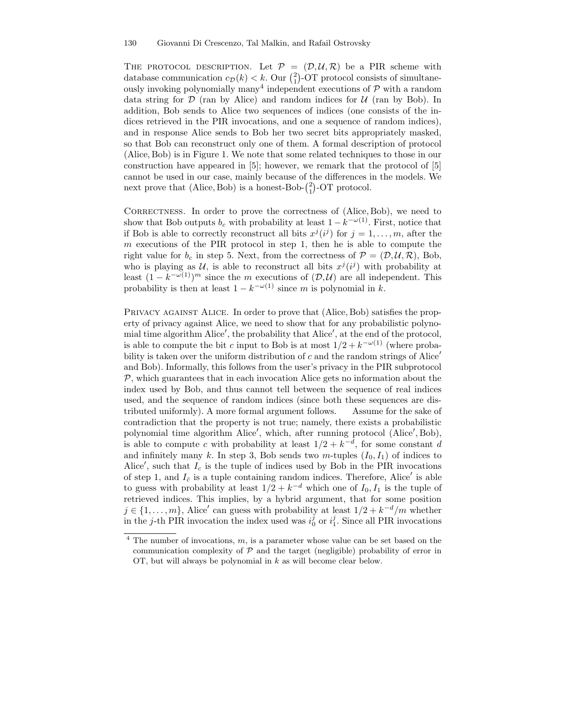THE PROTOCOL DESCRIPTION. Let  $P = (D, U, R)$  be a PIR scheme with database communication  $c_{\mathcal{D}}(k) < k$ . Our  $\binom{2}{1}$ -OT protocol consists of simultaneously invoking polynomially many<sup>4</sup> independent executions of  $P$  with a random data string for  $D$  (ran by Alice) and random indices for  $U$  (ran by Bob). In addition, Bob sends to Alice two sequences of indices (one consists of the indices retrieved in the PIR invocations, and one a sequence of random indices), and in response Alice sends to Bob her two secret bits appropriately masked, so that Bob can reconstruct only one of them. A formal description of protocol (Alice, Bob) is in Figure 1. We note that some related techniques to those in our construction have appeared in [5]; however, we remark that the protocol of [5] cannot be used in our case, mainly because of the differences in the models. We next prove that (Alice, Bob) is a honest-Bob- $\binom{2}{1}$ -OT protocol.

CORRECTNESS. In order to prove the correctness of (Alice, Bob), we need to show that Bob outputs  $b_c$  with probability at least  $1 - k^{-\omega(1)}$ . First, notice that if Bob is able to correctly reconstruct all bits  $x^j(i^j)$  for  $j = 1, \ldots, m$ , after the m executions of the PIR protocol in step 1, then he is able to compute the right value for  $b_c$  in step 5. Next, from the correctness of  $P = (D, \mathcal{U}, \mathcal{R})$ , Bob, who is playing as U, is able to reconstruct all bits  $x^j(i^j)$  with probability at least  $(1 - k^{-\omega(1)})^m$  since the m executions of  $(D, U)$  are all independent. This probability is then at least  $1 - k^{-\omega(1)}$  since m is polynomial in k.

PRIVACY AGAINST ALICE. In order to prove that (Alice, Bob) satisfies the property of privacy against Alice, we need to show that for any probabilistic polynomial time algorithm Alice', the probability that Alice', at the end of the protocol, is able to compute the bit c input to Bob is at most  $1/2 + k^{-\omega(1)}$  (where probability is taken over the uniform distribution of c and the random strings of Alice<sup> $\prime$ </sup> and Bob). Informally, this follows from the user's privacy in the PIR subprotocol  $P$ , which guarantees that in each invocation Alice gets no information about the index used by Bob, and thus cannot tell between the sequence of real indices used, and the sequence of random indices (since both these sequences are distributed uniformly). A more formal argument follows. Assume for the sake of contradiction that the property is not true; namely, there exists a probabilistic polynomial time algorithm Alice', which, after running protocol (Alice', Bob), is able to compute c with probability at least  $1/2 + k^{-d}$ , for some constant d and infinitely many k. In step 3, Bob sends two m-tuples  $(I_0, I_1)$  of indices to Alice', such that  $I_c$  is the tuple of indices used by Bob in the PIR invocations of step 1, and  $I_{\bar{c}}$  is a tuple containing random indices. Therefore, Alice' is able to guess with probability at least  $1/2 + k^{-d}$  which one of  $I_0, I_1$  is the tuple of retrieved indices. This implies, by a hybrid argument, that for some position  $j \in \{1, \ldots, m\}$ , Alice' can guess with probability at least  $1/2 + k^{-d}/m$  whether in the j-th PIR invocation the index used was  $i_0^j$  or  $i_1^j$ . Since all PIR invocations

 $4$  The number of invocations,  $m$ , is a parameter whose value can be set based on the communication complexity of  $P$  and the target (negligible) probability of error in OT, but will always be polynomial in k as will become clear below.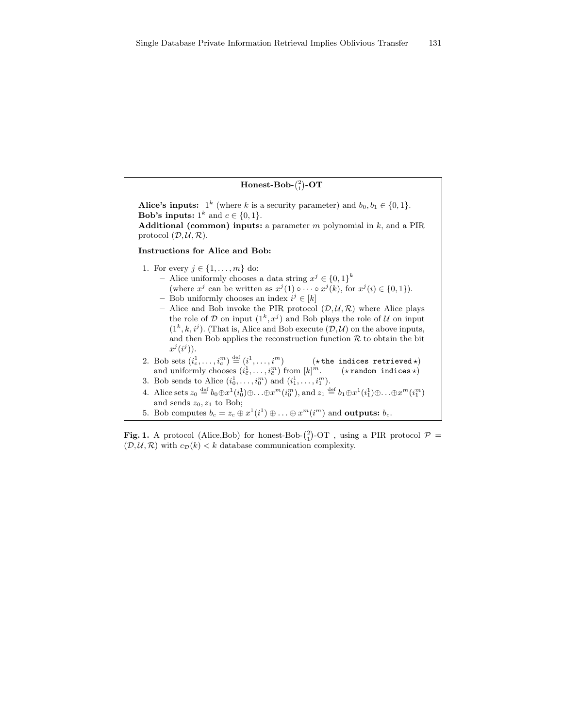| Honest-Bob- $\binom{2}{1}$ -OT                                                                                                                                                                                                                                                                                                                                                                                                                                                                                                                                                                                                                                              |
|-----------------------------------------------------------------------------------------------------------------------------------------------------------------------------------------------------------------------------------------------------------------------------------------------------------------------------------------------------------------------------------------------------------------------------------------------------------------------------------------------------------------------------------------------------------------------------------------------------------------------------------------------------------------------------|
| Alice's inputs: $1^k$ (where k is a security parameter) and $b_0, b_1 \in \{0, 1\}.$<br><b>Bob's inputs:</b> $1^k$ and $c \in \{0, 1\}.$<br><b>Additional (common) inputs:</b> a parameter $m$ polynomial in $k$ , and a PIR<br>protocol $(\mathcal{D}, \mathcal{U}, \mathcal{R})$ .                                                                                                                                                                                                                                                                                                                                                                                        |
| Instructions for Alice and Bob:                                                                                                                                                                                                                                                                                                                                                                                                                                                                                                                                                                                                                                             |
| 1. For every $j \in \{1, \ldots, m\}$ do:<br>$-$ Alice uniformly chooses a data string $x^j \in \{0,1\}^k$<br>(where $x^j$ can be written as $x^j(1) \circ \cdots \circ x^j(k)$ , for $x^j(i) \in \{0,1\}$ ).<br>- Bob uniformly chooses an index $i^j \in [k]$<br>- Alice and Bob invoke the PIR protocol $(\mathcal{D}, \mathcal{U}, \mathcal{R})$ where Alice plays<br>the role of D on input $(1^k, x^j)$ and Bob plays the role of U on input<br>$(1^k, k, i^j)$ . (That is, Alice and Bob execute $(\mathcal{D}, \mathcal{U})$ on the above inputs,<br>and then Bob applies the reconstruction function $\mathcal R$ to obtain the bit<br>$x^{\jmath}(i^{\jmath})$ ). |
| 2. Bob sets $(i_c^1, \ldots, i_c^m) \stackrel{\text{def}}{=} (i^1, \ldots, i^m)$ (* the indices retrieved *)<br>and uniformly chooses $(i_{\overline{c}}^1, \ldots, i_{\overline{c}}^m)$ from $[k]^m$ . (* random indices *)                                                                                                                                                                                                                                                                                                                                                                                                                                                |
| 3. Bob sends to Alice $(i_0^1, , i_0^m)$ and $(i_1^1, , i_1^m)$ .<br>4. Alice sets $z_0 \stackrel{\text{def}}{=} b_0 \oplus x^1(i_0^1) \oplus \ldots \oplus x^m(i_0^m)$ , and $z_1 \stackrel{\text{def}}{=} b_1 \oplus x^1(i_1^1) \oplus \ldots \oplus x^m(i_1^m)$<br>and sends $z_0, z_1$ to Bob;                                                                                                                                                                                                                                                                                                                                                                          |
| 5. Bob computes $b_c = z_c \oplus x^1(i^1) \oplus \ldots \oplus x^m(i^m)$ and <b>outputs:</b> $b_c$ .                                                                                                                                                                                                                                                                                                                                                                                                                                                                                                                                                                       |

Fig. 1. A protocol (Alice,Bob) for honest-Bob- $\binom{2}{1}$ -OT, using a PIR protocol  $\mathcal{P} =$  $(\mathcal{D}, \mathcal{U}, \mathcal{R})$  with  $c_{\mathcal{D}}(k) < k$  database communication complexity.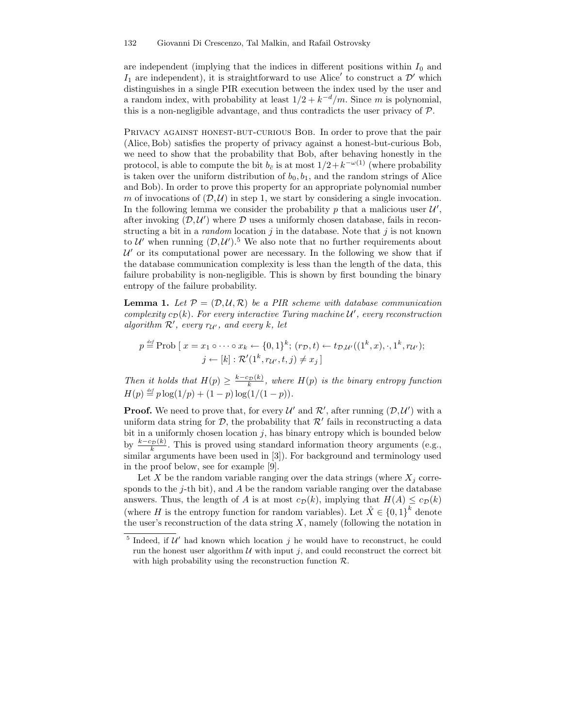are independent (implying that the indices in different positions within  $I_0$  and  $I_1$  are independent), it is straightforward to use Alice' to construct a  $\mathcal{D}'$  which distinguishes in a single PIR execution between the index used by the user and a random index, with probability at least  $1/2 + k^{-d}/m$ . Since m is polynomial, this is a non-negligible advantage, and thus contradicts the user privacy of  $P$ .

PRIVACY AGAINST HONEST-BUT-CURIOUS BOB. In order to prove that the pair (Alice, Bob) satisfies the property of privacy against a honest-but-curious Bob, we need to show that the probability that Bob, after behaving honestly in the protocol, is able to compute the bit  $b_{\bar{c}}$  is at most  $1/2 + k^{-\omega(1)}$  (where probability is taken over the uniform distribution of  $b_0, b_1$ , and the random strings of Alice and Bob). In order to prove this property for an appropriate polynomial number m of invocations of  $(D, U)$  in step 1, we start by considering a single invocation. In the following lemma we consider the probability p that a malicious user  $\mathcal{U}',$ after invoking  $(D, U')$  where D uses a uniformly chosen database, fails in reconstructing a bit in a *random* location  $j$  in the database. Note that  $j$  is not known to  $\mathcal{U}'$  when running  $(\mathcal{D}, \mathcal{U}')$ .<sup>5</sup> We also note that no further requirements about  $\mathcal{U}'$  or its computational power are necessary. In the following we show that if the database communication complexity is less than the length of the data, this failure probability is non-negligible. This is shown by first bounding the binary entropy of the failure probability.

**Lemma 1.** Let  $P = (D, \mathcal{U}, \mathcal{R})$  be a PIR scheme with database communication complexity  $c_{\mathcal{D}}(k)$ . For every interactive Turing machine  $\mathcal{U}'$ , every reconstruction algorithm  $\mathcal{R}'$ , every  $r_{\mathcal{U}'}$ , and every k, let

$$
p \stackrel{\text{def}}{=} \text{Prob}\left[x = x_1 \circ \cdots \circ x_k \leftarrow \{0, 1\}^k; (r_{\mathcal{D}}, t) \leftarrow t_{\mathcal{D}, \mathcal{U}'}((1^k, x), \cdot, 1^k, r_{\mathcal{U}'});
$$

$$
j \leftarrow [k] : \mathcal{R}'(1^k, r_{\mathcal{U}'}, t, j) \neq x_j]
$$

Then it holds that  $H(p) \geq \frac{k-c_{\mathcal{D}}(k)}{k}$  $\frac{d_{\mathcal{D}}(\mathcal{R})}{d_{\mathcal{R}}}$ , where  $H(p)$  is the binary entropy function  $H(p) \stackrel{\text{\tiny def}}{=} p \log(1/p) + (1-p) \log(1/(1-p)).$ 

**Proof.** We need to prove that, for every  $\mathcal{U}'$  and  $\mathcal{R}'$ , after running  $(\mathcal{D}, \mathcal{U}')$  with a uniform data string for  $D$ , the probability that  $\mathcal{R}'$  fails in reconstructing a data bit in a uniformly chosen location  $j$ , has binary entropy which is bounded below by  $\frac{k-c_{\mathcal{D}}(k)}{k}$  $\frac{d_{\mathcal{D}}(\kappa)}{k}$ . This is proved using standard information theory arguments (e.g., similar arguments have been used in [3]). For background and terminology used in the proof below, see for example [9].

Let X be the random variable ranging over the data strings (where  $X_i$  corresponds to the  $j$ -th bit), and  $A$  be the random variable ranging over the database answers. Thus, the length of A is at most  $c_{\mathcal{D}}(k)$ , implying that  $H(A) \leq c_{\mathcal{D}}(k)$ (where H is the entropy function for random variables). Let  $\hat{X} \in \{0,1\}^k$  denote the user's reconstruction of the data string  $X$ , namely (following the notation in

<sup>&</sup>lt;sup>5</sup> Indeed, if  $\mathcal{U}'$  had known which location j he would have to reconstruct, he could run the honest user algorithm  $U$  with input j, and could reconstruct the correct bit with high probability using the reconstruction function  $\mathcal{R}$ .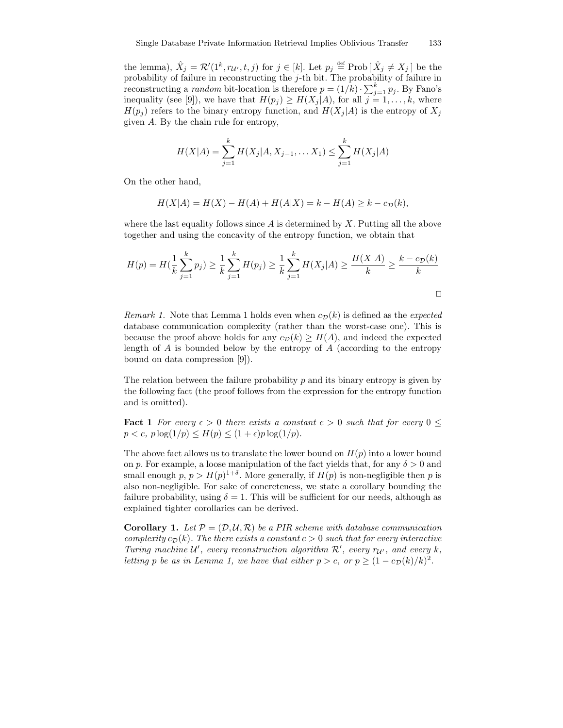the lemma),  $\hat{X}_j = \mathcal{R}'(1^k, r_{\mathcal{U}'}, t, j)$  for  $j \in [k]$ . Let  $p_j \stackrel{\text{def}}{=} \text{Prob}\left[\hat{X}_j \neq X_j\right]$  be the probability of failure in reconstructing the j-th bit. The probability of failure in reconstructing a *random* bit-location is therefore  $p = (1/k) \cdot \sum_{j=1}^{k} p_j$ . By Fano's inequality (see [9]), we have that  $H(p_j) \geq H(X_j|A)$ , for all  $j = 1, ..., k$ , where  $H(p_i)$  refers to the binary entropy function, and  $H(X_i | A)$  is the entropy of  $X_i$ given A. By the chain rule for entropy,

$$
H(X|A) = \sum_{j=1}^{k} H(X_j|A, X_{j-1}, \dots, X_1) \le \sum_{j=1}^{k} H(X_j|A)
$$

On the other hand,

$$
H(X|A) = H(X) - H(A) + H(A|X) = k - H(A) \ge k - c_{\mathcal{D}}(k),
$$

where the last equality follows since A is determined by  $X$ . Putting all the above together and using the concavity of the entropy function, we obtain that

$$
H(p) = H(\frac{1}{k} \sum_{j=1}^{k} p_j) \ge \frac{1}{k} \sum_{j=1}^{k} H(p_j) \ge \frac{1}{k} \sum_{j=1}^{k} H(X_j | A) \ge \frac{H(X | A)}{k} \ge \frac{k - c_D(k)}{k}
$$

Remark 1. Note that Lemma 1 holds even when  $c_{\mathcal{D}}(k)$  is defined as the expected database communication complexity (rather than the worst-case one). This is because the proof above holds for any  $c_{\mathcal{D}}(k) \geq H(A)$ , and indeed the expected length of  $A$  is bounded below by the entropy of  $A$  (according to the entropy bound on data compression [9]).

The relation between the failure probability  $p$  and its binary entropy is given by the following fact (the proof follows from the expression for the entropy function and is omitted).

**Fact 1** For every  $\epsilon > 0$  there exists a constant  $c > 0$  such that for every  $0 \leq$  $p < c$ ,  $p \log(1/p) \leq H(p) \leq (1+\epsilon)p \log(1/p)$ .

The above fact allows us to translate the lower bound on  $H(p)$  into a lower bound on p. For example, a loose manipulation of the fact yields that, for any  $\delta > 0$  and small enough  $p, p > H(p)^{1+\delta}$ . More generally, if  $H(p)$  is non-negligible then p is also non-negligible. For sake of concreteness, we state a corollary bounding the failure probability, using  $\delta = 1$ . This will be sufficient for our needs, although as explained tighter corollaries can be derived.

**Corollary 1.** Let  $P = (\mathcal{D}, \mathcal{U}, \mathcal{R})$  be a PIR scheme with database communication complexity  $c_{\mathcal{D}}(k)$ . The there exists a constant  $c > 0$  such that for every interactive Turing machine  $\mathcal{U}'$ , every reconstruction algorithm  $\mathcal{R}'$ , every  $r_{\mathcal{U}'}$ , and every  $k$ , letting p be as in Lemma 1, we have that either  $p > c$ , or  $p \ge (1 - c_{\mathcal{D}}(k)/k)^2$ .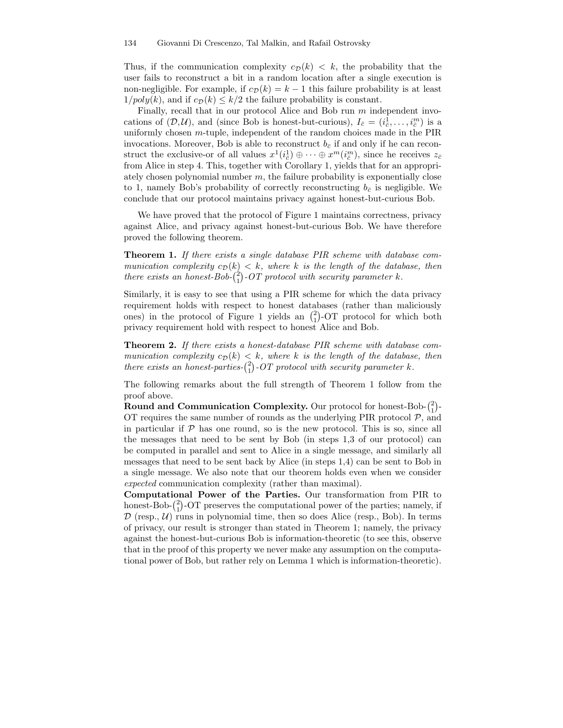Thus, if the communication complexity  $c_{\mathcal{D}}(k) < k$ , the probability that the user fails to reconstruct a bit in a random location after a single execution is non-negligible. For example, if  $c_{\mathcal{D}}(k) = k - 1$  this failure probability is at least  $1/poly(k)$ , and if  $c_{\mathcal{D}}(k) \leq k/2$  the failure probability is constant.

Finally, recall that in our protocol Alice and Bob run m independent invocations of  $(D, U)$ , and (since Bob is honest-but-curious),  $I_{\bar{c}} = (i_{\bar{c}}^1, \ldots, i_{\bar{c}}^m)$  is a uniformly chosen  $m$ -tuple, independent of the random choices made in the PIR invocations. Moreover, Bob is able to reconstruct  $b_{\bar{c}}$  if and only if he can reconstruct the exclusive-or of all values  $x^1(i_{\bar{c}}^1) \oplus \cdots \oplus x^m(i_{\bar{c}}^m)$ , since he receives  $z_{\bar{c}}$ from Alice in step 4. This, together with Corollary 1, yields that for an appropriately chosen polynomial number  $m$ , the failure probability is exponentially close to 1, namely Bob's probability of correctly reconstructing  $b_{\bar{c}}$  is negligible. We conclude that our protocol maintains privacy against honest-but-curious Bob.

We have proved that the protocol of Figure 1 maintains correctness, privacy against Alice, and privacy against honest-but-curious Bob. We have therefore proved the following theorem.

Theorem 1. If there exists a single database PIR scheme with database communication complexity  $c_{\mathcal{D}}(k) < k$ , where k is the length of the database, then there exists an honest-Bob- $\binom{2}{1}$ -OT protocol with security parameter k.

Similarly, it is easy to see that using a PIR scheme for which the data privacy requirement holds with respect to honest databases (rather than maliciously ones) in the protocol of Figure 1 yields an  $\binom{2}{1}$ -OT protocol for which both privacy requirement hold with respect to honest Alice and Bob.

Theorem 2. If there exists a honest-database PIR scheme with database communication complexity  $c_{\mathcal{D}}(k) < k$ , where k is the length of the database, then there exists an honest-parties- $\binom{2}{1}$ -OT protocol with security parameter k.

The following remarks about the full strength of Theorem 1 follow from the proof above.

Round and Communication Complexity. Our protocol for honest-Bob- $\binom{2}{1}$ -OT requires the same number of rounds as the underlying PIR protocol  $P$ , and in particular if  $P$  has one round, so is the new protocol. This is so, since all the messages that need to be sent by Bob (in steps 1,3 of our protocol) can be computed in parallel and sent to Alice in a single message, and similarly all messages that need to be sent back by Alice (in steps 1,4) can be sent to Bob in a single message. We also note that our theorem holds even when we consider expected communication complexity (rather than maximal).

Computational Power of the Parties. Our transformation from PIR to honest-Bob- $\binom{2}{1}$ -OT preserves the computational power of the parties; namely, if  $\mathcal{D}$  (resp.,  $\mathcal{U}$ ) runs in polynomial time, then so does Alice (resp., Bob). In terms of privacy, our result is stronger than stated in Theorem 1; namely, the privacy against the honest-but-curious Bob is information-theoretic (to see this, observe that in the proof of this property we never make any assumption on the computational power of Bob, but rather rely on Lemma 1 which is information-theoretic).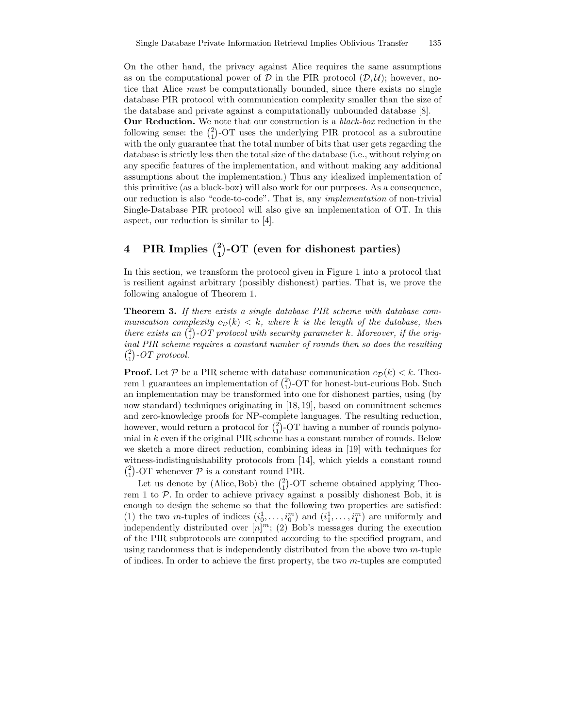On the other hand, the privacy against Alice requires the same assumptions as on the computational power of  $D$  in the PIR protocol  $(D, U)$ ; however, notice that Alice must be computationally bounded, since there exists no single database PIR protocol with communication complexity smaller than the size of the database and private against a computationally unbounded database [8].

Our Reduction. We note that our construction is a black-box reduction in the following sense: the  $\binom{2}{1}$ -OT uses the underlying PIR protocol as a subroutine with the only guarantee that the total number of bits that user gets regarding the database is strictly less then the total size of the database (i.e., without relying on any specific features of the implementation, and without making any additional assumptions about the implementation.) Thus any idealized implementation of this primitive (as a black-box) will also work for our purposes. As a consequence, our reduction is also "code-to-code". That is, any implementation of non-trivial Single-Database PIR protocol will also give an implementation of OT. In this aspect, our reduction is similar to [4].

# 4 PIR Implies  $\binom{2}{1}$ -OT (even for dishonest parties)

In this section, we transform the protocol given in Figure 1 into a protocol that is resilient against arbitrary (possibly dishonest) parties. That is, we prove the following analogue of Theorem 1.

Theorem 3. If there exists a single database PIR scheme with database communication complexity  $c_{\mathcal{D}}(k) < k$ , where k is the length of the database, then there exists an  $\binom{2}{1}$ -OT protocol with security parameter k. Moreover, if the original PIR scheme requires a constant number of rounds then so does the resulting  $\binom{2}{1}$ -OT protocol.

**Proof.** Let P be a PIR scheme with database communication  $c_{\mathcal{D}}(k) < k$ . Theorem 1 guarantees an implementation of  $\binom{2}{1}$ -OT for honest-but-curious Bob. Such an implementation may be transformed into one for dishonest parties, using (by now standard) techniques originating in [18, 19], based on commitment schemes and zero-knowledge proofs for NP-complete languages. The resulting reduction, however, would return a protocol for  $\binom{2}{1}$ -OT having a number of rounds polynomial in  $k$  even if the original PIR scheme has a constant number of rounds. Below we sketch a more direct reduction, combining ideas in [19] with techniques for witness-indistinguishability protocols from [14], which yields a constant round  $\binom{2}{1}$ -OT whenever  $P$  is a constant round PIR.

Let us denote by (Alice, Bob) the  $\binom{2}{1}$ -OT scheme obtained applying Theorem 1 to  $P$ . In order to achieve privacy against a possibly dishonest Bob, it is enough to design the scheme so that the following two properties are satisfied: (1) the two m-tuples of indices  $(i_0^1, \ldots, i_0^m)$  and  $(i_1^1, \ldots, i_1^m)$  are uniformly and independently distributed over  $[n]^m$ ; (2) Bob's messages during the execution of the PIR subprotocols are computed according to the specified program, and using randomness that is independently distributed from the above two  $m$ -tuple of indices. In order to achieve the first property, the two  $m$ -tuples are computed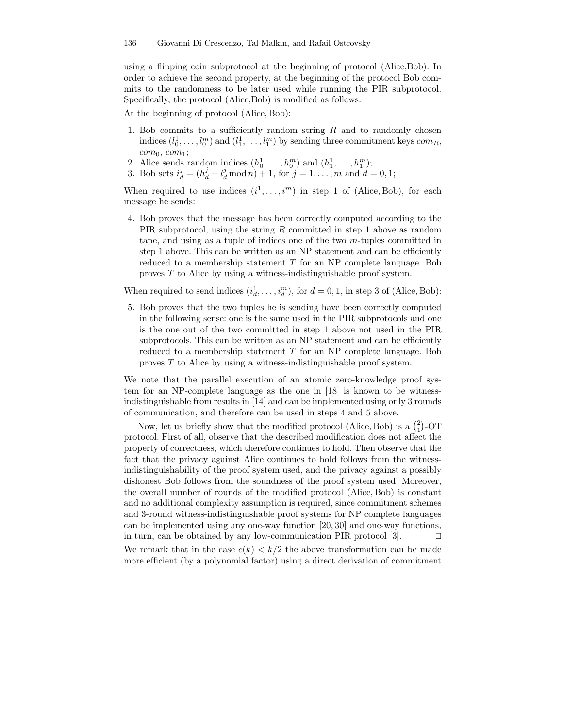using a flipping coin subprotocol at the beginning of protocol (Alice,Bob). In order to achieve the second property, at the beginning of the protocol Bob commits to the randomness to be later used while running the PIR subprotocol. Specifically, the protocol (Alice,Bob) is modified as follows.

At the beginning of protocol (Alice, Bob):

- 1. Bob commits to a sufficiently random string  $R$  and to randomly chosen indices  $(l_0^1, \ldots, l_0^m)$  and  $(l_1^1, \ldots, l_1^m)$  by sending three commitment keys  $com_R$ ,  $com_0, com_1;$
- 2. Alice sends random indices  $(h_0^1, \ldots, h_0^m)$  and  $(h_1^1, \ldots, h_1^m)$ ;
- 3. Bob sets  $i_d^j = (h_d^j + l_d^j \mod n) + 1$ , for  $j = 1, ..., m$  and  $d = 0, 1$ ;

When required to use indices  $(i^1, \ldots, i^m)$  in step 1 of (Alice, Bob), for each message he sends:

4. Bob proves that the message has been correctly computed according to the PIR subprotocol, using the string R committed in step 1 above as random tape, and using as a tuple of indices one of the two m-tuples committed in step 1 above. This can be written as an NP statement and can be efficiently reduced to a membership statement  $T$  for an NP complete language. Bob proves T to Alice by using a witness-indistinguishable proof system.

When required to send indices  $(i_d^1, \ldots, i_d^m)$ , for  $d = 0, 1$ , in step 3 of (Alice, Bob):

5. Bob proves that the two tuples he is sending have been correctly computed in the following sense: one is the same used in the PIR subprotocols and one is the one out of the two committed in step 1 above not used in the PIR subprotocols. This can be written as an NP statement and can be efficiently reduced to a membership statement T for an NP complete language. Bob proves T to Alice by using a witness-indistinguishable proof system.

We note that the parallel execution of an atomic zero-knowledge proof system for an NP-complete language as the one in [18] is known to be witnessindistinguishable from results in [14] and can be implemented using only 3 rounds of communication, and therefore can be used in steps 4 and 5 above.

Now, let us briefly show that the modified protocol (Alice, Bob) is a  $\binom{2}{1}$ -OT protocol. First of all, observe that the described modification does not affect the property of correctness, which therefore continues to hold. Then observe that the fact that the privacy against Alice continues to hold follows from the witnessindistinguishability of the proof system used, and the privacy against a possibly dishonest Bob follows from the soundness of the proof system used. Moreover, the overall number of rounds of the modified protocol (Alice, Bob) is constant and no additional complexity assumption is required, since commitment schemes and 3-round witness-indistinguishable proof systems for NP complete languages can be implemented using any one-way function [20, 30] and one-way functions, in turn, can be obtained by any low-communication PIR protocol [3].  $\Box$ We remark that in the case  $c(k) < k/2$  the above transformation can be made more efficient (by a polynomial factor) using a direct derivation of commitment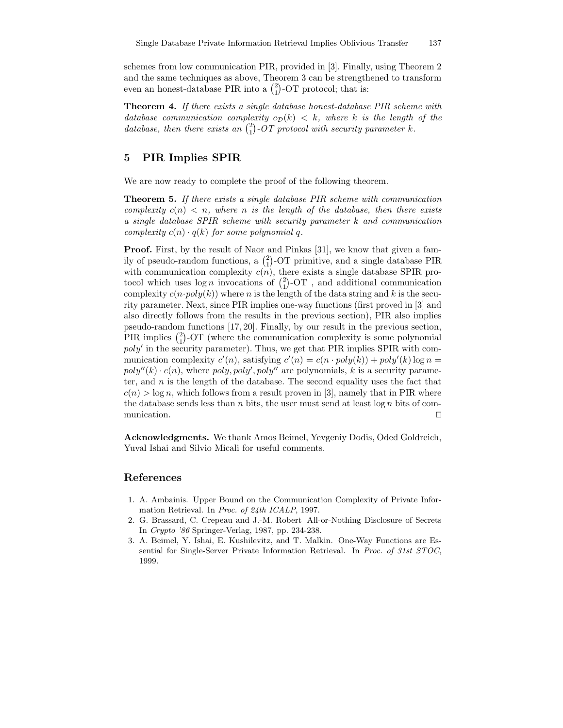schemes from low communication PIR, provided in [3]. Finally, using Theorem 2 and the same techniques as above, Theorem 3 can be strengthened to transform even an honest-database PIR into a  $\binom{2}{1}$ -OT protocol; that is:

Theorem 4. If there exists a single database honest-database PIR scheme with database communication complexity  $c_{\mathcal{D}}(k) < k$ , where k is the length of the database, then there exists an  $\binom{2}{1}$ -OT protocol with security parameter k.

## 5 PIR Implies SPIR

We are now ready to complete the proof of the following theorem.

Theorem 5. If there exists a single database PIR scheme with communication complexity  $c(n) < n$ , where n is the length of the database, then there exists a single database SPIR scheme with security parameter k and communication complexity  $c(n) \cdot q(k)$  for some polynomial q.

Proof. First, by the result of Naor and Pinkas [31], we know that given a family of pseudo-random functions, a  $\binom{2}{1}$ -OT primitive, and a single database PIR with communication complexity  $c(n)$ , there exists a single database SPIR protocol which uses  $\log n$  invocations of  $\binom{2}{1}$ -OT, and additional communication complexity  $c(n \cdot poly(k))$  where n is the length of the data string and k is the security parameter. Next, since PIR implies one-way functions (first proved in [3] and also directly follows from the results in the previous section), PIR also implies pseudo-random functions [17, 20]. Finally, by our result in the previous section, PIR implies  $\binom{2}{1}$ -OT (where the communication complexity is some polynomial  $poly'$  in the security parameter). Thus, we get that PIR implies SPIR with communication complexity  $c'(n)$ , satisfying  $c'(n) = c(n \cdot poly(k)) + poly'(k) \log n =$  $poly''(k) \cdot c(n)$ , where  $poly, poly', poly''$  are polynomials, k is a security parameter, and  $n$  is the length of the database. The second equality uses the fact that  $c(n) > \log n$ , which follows from a result proven in [3], namely that in PIR where the database sends less than  $n$  bits, the user must send at least  $\log n$  bits of communication.  $\Box$ 

Acknowledgments. We thank Amos Beimel, Yevgeniy Dodis, Oded Goldreich, Yuval Ishai and Silvio Micali for useful comments.

### References

- 1. A. Ambainis. Upper Bound on the Communication Complexity of Private Information Retrieval. In Proc. of 24th ICALP, 1997.
- 2. G. Brassard, C. Crepeau and J.-M. Robert All-or-Nothing Disclosure of Secrets In Crypto '86 Springer-Verlag, 1987, pp. 234-238.
- 3. A. Beimel, Y. Ishai, E. Kushilevitz, and T. Malkin. One-Way Functions are Essential for Single-Server Private Information Retrieval. In Proc. of 31st STOC, 1999.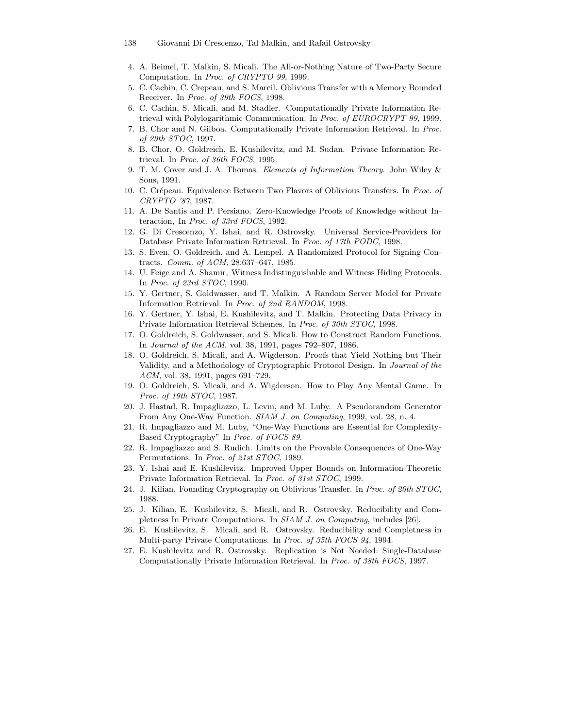- 4. A. Beimel, T. Malkin, S. Micali. The All-or-Nothing Nature of Two-Party Secure Computation. In Proc. of CRYPTO 99, 1999.
- 5. C. Cachin, C. Crepeau, and S. Marcil. Oblivious Transfer with a Memory Bounded Receiver. In Proc. of 39th FOCS, 1998.
- 6. C. Cachin, S. Micali, and M. Stadler. Computationally Private Information Retrieval with Polylogarithmic Communication. In Proc. of EUROCRYPT 99, 1999.
- 7. B. Chor and N. Gilboa. Computationally Private Information Retrieval. In Proc. of 29th STOC, 1997.
- 8. B. Chor, O. Goldreich, E. Kushilevitz, and M. Sudan. Private Information Retrieval. In Proc. of 36th FOCS, 1995.
- 9. T. M. Cover and J. A. Thomas. Elements of Information Theory. John Wiley & Sons, 1991.
- 10. C. Crépeau. Equivalence Between Two Flavors of Oblivious Transfers. In Proc. of CRYPTO '87, 1987.
- 11. A. De Santis and P. Persiano, Zero-Knowledge Proofs of Knowledge without Interaction, In Proc. of 33rd FOCS, 1992.
- 12. G. Di Crescenzo, Y. Ishai, and R. Ostrovsky. Universal Service-Providers for Database Private Information Retrieval. In Proc. of 17th PODC, 1998.
- 13. S. Even, O. Goldreich, and A. Lempel. A Randomized Protocol for Signing Contracts. Comm. of ACM, 28:637–647, 1985.
- 14. U. Feige and A. Shamir, Witness Indistinguishable and Witness Hiding Protocols. In Proc. of 23rd STOC, 1990.
- 15. Y. Gertner, S. Goldwasser, and T. Malkin. A Random Server Model for Private Information Retrieval. In Proc. of 2nd RANDOM, 1998.
- 16. Y. Gertner, Y. Ishai, E. Kushilevitz, and T. Malkin. Protecting Data Privacy in Private Information Retrieval Schemes. In Proc. of 30th STOC, 1998.
- 17. O. Goldreich, S. Goldwasser, and S. Micali. How to Construct Random Functions. In Journal of the ACM, vol. 38, 1991, pages 792–807, 1986.
- 18. O. Goldreich, S. Micali, and A. Wigderson. Proofs that Yield Nothing but Their Validity, and a Methodology of Cryptographic Protocol Design. In Journal of the ACM, vol. 38, 1991, pages 691–729.
- 19. O. Goldreich, S. Micali, and A. Wigderson. How to Play Any Mental Game. In Proc. of 19th STOC, 1987.
- 20. J. Hastad, R. Impagliazzo, L. Levin, and M. Luby. A Pseudorandom Generator From Any One-Way Function. SIAM J. on Computing, 1999, vol. 28, n. 4.
- 21. R. Impagliazzo and M. Luby, "One-Way Functions are Essential for Complexity-Based Cryptography" In Proc. of FOCS 89.
- 22. R. Impagliazzo and S. Rudich. Limits on the Provable Consequences of One-Way Permutations. In Proc. of 21st STOC, 1989.
- 23. Y. Ishai and E. Kushilevitz. Improved Upper Bounds on Information-Theoretic Private Information Retrieval. In Proc. of 31st STOC, 1999.
- 24. J. Kilian. Founding Cryptography on Oblivious Transfer. In Proc. of 20th STOC, 1988.
- 25. J. Kilian, E. Kushilevitz, S. Micali, and R. Ostrovsky. Reducibility and Completness In Private Computations. In SIAM J. on Computing, includes [26].
- 26. E. Kushilevitz, S. Micali, and R. Ostrovsky. Reducibility and Completness in Multi-party Private Computations. In Proc. of 35th FOCS 94, 1994.
- 27. E. Kushilevitz and R. Ostrovsky. Replication is Not Needed: Single-Database Computationally Private Information Retrieval. In Proc. of 38th FOCS, 1997.